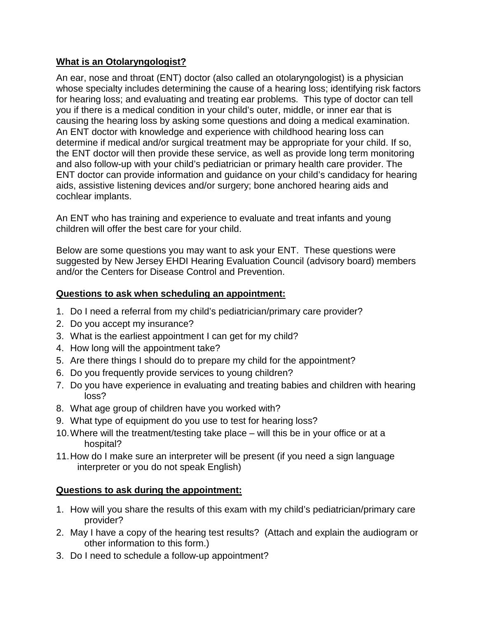## **What is an Otolaryngologist?**

An ear, nose and throat (ENT) doctor (also called an otolaryngologist) is a physician whose specialty includes determining the cause of a hearing loss; identifying risk factors for hearing loss; and evaluating and treating ear problems. This type of doctor can tell you if there is a medical condition in your child's outer, middle, or inner ear that is causing the hearing loss by asking some questions and doing a medical examination. An ENT doctor with knowledge and experience with childhood hearing loss can determine if medical and/or surgical treatment may be appropriate for your child. If so, the ENT doctor will then provide these service, as well as provide long term monitoring and also follow-up with your child's pediatrician or primary health care provider. The ENT doctor can provide information and guidance on your child's candidacy for hearing aids, assistive listening devices and/or surgery; bone anchored hearing aids and cochlear implants.

An ENT who has training and experience to evaluate and treat infants and young children will offer the best care for your child.

Below are some questions you may want to ask your ENT. These questions were suggested by New Jersey EHDI Hearing Evaluation Council (advisory board) members and/or the Centers for Disease Control and Prevention.

## **Questions to ask when scheduling an appointment:**

- 1. Do I need a referral from my child's pediatrician/primary care provider?
- 2. Do you accept my insurance?
- 3. What is the earliest appointment I can get for my child?
- 4. How long will the appointment take?
- 5. Are there things I should do to prepare my child for the appointment?
- 6. Do you frequently provide services to young children?
- 7. Do you have experience in evaluating and treating babies and children with hearing loss?
- 8. What age group of children have you worked with?
- 9. What type of equipment do you use to test for hearing loss?
- 10.Where will the treatment/testing take place will this be in your office or at a hospital?
- 11.How do I make sure an interpreter will be present (if you need a sign language interpreter or you do not speak English)

## **Questions to ask during the appointment:**

- 1. How will you share the results of this exam with my child's pediatrician/primary care provider?
- 2. May I have a copy of the hearing test results? (Attach and explain the audiogram or other information to this form.)
- 3. Do I need to schedule a follow-up appointment?